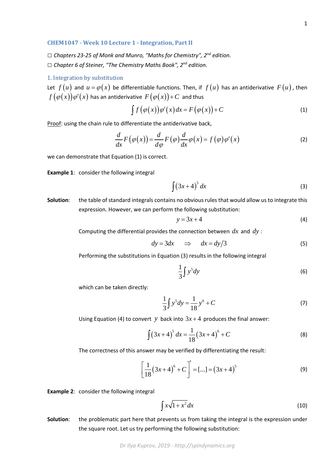## **CHEM1047 - Week 10 Lecture 1 - Integration, Part II**

*□ Chapters 23-25 of Monk and Munro, "Maths for Chemistry", 2nd edition. □ Chapter 6 of Steiner, "The Chemistry Maths Book", 2nd edition.*

## 1. Integration by substitution

Let  $f(u)$  and  $u = \varphi(x)$  be differentiable functions. Then, if  $f(u)$  has an antiderivative  $F(u)$ , then  $f(\varphi(x))\varphi'(x)$  has an antiderivative  $F(\varphi(x))$  + C and thus

$$
\int f(\varphi(x))\varphi'(x)dx = F(\varphi(x)) + C \tag{1}
$$

Proof: using the chain rule to differentiate the antiderivative back,

$$
\frac{d}{dx}F(\varphi(x)) = \frac{d}{d\varphi}F(\varphi)\frac{d}{dx}\varphi(x) = f(\varphi)\varphi'(x)
$$
\n(2)

we can demonstrate that Equation (1) is correct.

**Example 1**: consider the following integral

$$
\int (3x+4)^5 dx
$$
 (3)

**Solution**: the table of standard integrals contains no obvious rules that would allow us to integrate this expression. However, we can perform the following substitution:

$$
y = 3x + 4 \tag{4}
$$

Computing the differential provides the connection between *dx* and *dy* :

$$
dy = 3dx \quad \Rightarrow \quad dx = dy/3 \tag{5}
$$

Performing the substitutions in Equation (3) results in the following integral

$$
\frac{1}{3}\int y^5 dy\tag{6}
$$

which can be taken directly:

$$
\frac{1}{3}\int y^5 dy = \frac{1}{18}y^6 + C
$$
 (7)

Using Equation (4) to convert *y* back into  $3x + 4$  produces the final answer:

$$
\int (3x+4)^5 dx = \frac{1}{18} (3x+4)^6 + C
$$
 (8)

The correctness of this answer may be verified by differentiating the result:

$$
\left[\frac{1}{18}(3x+4)^6 + C\right]' = [...] = (3x+4)^5
$$
 (9)

**Example 2**: consider the following integral

$$
\int x\sqrt{1+x^2}\,dx\tag{10}
$$

**Solution**: the problematic part here that prevents us from taking the integral is the expression under the square root. Let us try performing the following substitution: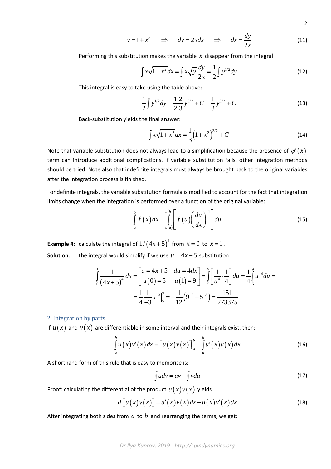$$
y = 1 + x^2 \quad \Rightarrow \quad dy = 2x dx \quad \Rightarrow \quad dx = \frac{dy}{2x} \tag{11}
$$

Performing this substitution makes the variable *x* disappear from the integral

$$
\int x\sqrt{1+x^2} \, dx = \int x\sqrt{y} \, \frac{dy}{2x} = \frac{1}{2} \int y^{1/2} \, dy \tag{12}
$$

This integral is easy to take using the table above:

$$
\frac{1}{2}\int y^{1/2} dy = \frac{1}{2}\frac{2}{3}y^{3/2} + C = \frac{1}{3}y^{3/2} + C
$$
 (13)

Back-substitution yields the final answer:

$$
\int x\sqrt{1+x^2}dx = \frac{1}{3}\left(1+x^2\right)^{3/2} + C\tag{14}
$$

Note that variable substitution does not always lead to a simplification because the presence of  $\varphi'(x)$ term can introduce additional complications. If variable substitution fails, other integration methods should be tried. Note also that indefinite integrals must always be brought back to the original variables after the integration process is finished.

For definite integrals, the variable substitution formula is modified to account for the fact that integration limits change when the integration is performed over a function of the original variable:

$$
\int_{a}^{b} f(x) dx = \int_{u(a)}^{u(b)} \left[ f(u) \left( \frac{du}{dx} \right)^{-1} \right] du \tag{15}
$$

**Example 4**: calculate the integral of  $1/(4x+5)^4$  from  $x=0$  to  $x=1$ . **Solution:** the integral would simplify if we use  $u = 4x + 5$  substitution

$$
\int_{0}^{1} \frac{1}{(4x+5)^{4}} dx = \left[ \begin{array}{cc} u = 4x+5 & du = 4dx \\ u(0) = 5 & u(1) = 9 \end{array} \right] = \int_{5}^{9} \left[ \frac{1}{u^{4}} \cdot \frac{1}{4} \right] du = \frac{1}{4} \int_{5}^{9} u^{-4} du =
$$

$$
= \frac{1}{4} \frac{1}{-3} u^{-3} \Big|_{5}^{9} = -\frac{1}{12} (9^{-3} - 5^{-3}) = \frac{151}{273375}
$$

#### 2. Integration by parts

If  $u(x)$  and  $v(x)$  are differentiable in some interval and their integrals exist, then:

$$
\int_{a}^{b} u(x)v'(x)dx = \left[u(x)v(x)\right]_{a}^{b} - \int_{a}^{b} u'(x)v(x)dx
$$
\n(16)

A shorthand form of this rule that is easy to memorise is:

$$
\int u dv = uv - \int v du \tag{17}
$$

Proof: calculating the differential of the product  $u(x)v(x)$  yields

$$
d[u(x)v(x)] = u'(x)v(x)dx + u(x)v'(x)dx
$$
\n(18)

After integrating both sides from *a* to *b* and rearranging the terms, we get: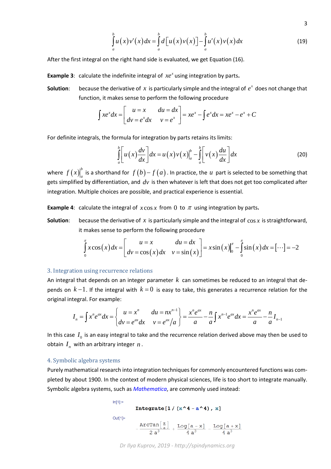$$
\int_{a}^{b} u(x)v'(x)dx = \int_{a}^{b} d\big[u(x)v(x)\big] - \int_{a}^{b} u'(x)v(x)dx\tag{19}
$$

After the first integral on the right hand side is evaluated, we get Equation (16).

**Example 3**: calculate the indefinite integral of  $xe^x$  using integration by parts.

**Solution:** because the derivative of x is particularly simple and the integral of  $e^x$  does not change that function, it makes sense to perform the following procedure

$$
\int xe^x dx = \begin{bmatrix} u = x & du = dx \\ dv = e^x dx & v = e^x \end{bmatrix} = xe^x - \int e^x dx = xe^x - e^x + C
$$

For definite integrals, the formula for integration by parts retains its limits:

$$
\int_{a}^{b} \left[ u(x) \frac{dv}{dx} \right] dx = u(x) v(x) \Big|_{a}^{b} - \int_{a}^{b} \left[ v(x) \frac{du}{dx} \right] dx \tag{20}
$$

where  $f(x) \big|_a^b$  is a shorthand for  $f(b)-f(a)$ . In practice, the  $u$  part is selected to be something that gets simplified by differentiation, and *dv* is then whatever is left that does not get too complicated after integration. Multiple choices are possible, and practical experience is essential.

**Example 4:** calculate the integral of  $x \cos x$  from 0 to  $\pi$  using integration by parts.

**Solution**: because the derivative of *x* is particularly simple and the integral of cos *x* is straightforward, it makes sense to perform the following procedure

$$
\int_{0}^{\pi} x \cos(x) dx = \left[ \begin{array}{cc} u = x & du = dx \\ dv = \cos(x) dx & v = \sin(x) \end{array} \right] = x \sin(x) \Big|_{0}^{\pi} - \int_{0}^{\pi} \sin(x) dx = [\cdots] = -2
$$

# 3. Integration using recurrence relations

An integral that depends on an integer parameter *k* can sometimes be reduced to an integral that depends on *k* −1. If the integral with *k* = 0 is easy to take, this generates a recurrence relation for the original integral. For example:

$$
I_n = \int x^n e^{ax} dx = \begin{cases} u = x^n & du = nx^{n-1} \\ dv = e^{ax} dx & v = e^{ax}/a \end{cases} = \frac{x^n e^{ax}}{a} - \frac{n}{a} \int x^{n-1} e^{ax} dx = \frac{x^n e^{ax}}{a} - \frac{n}{a} I_{n-1}
$$

In this case  $I_0$  is an easy integral to take and the recurrence relation derived above may then be used to obtain  $I_n$  with an arbitrary integer  $n$ .

## 4. Symbolic algebra systems

Purely mathematical research into integration techniques for commonly encountered functions was completed by about 1900. In the context of modern physical sciences, life is too short to integrate manually. Symbolic algebra systems, such as *[Mathematica](https://en.wikipedia.org/wiki/Wolfram_Mathematica)*, are commonly used instead:

$$
\begin{aligned}\n\text{Integrate}\left[1 / \left(x^4 - a^4\right), x\right] \\
\text{Out[1]}&=\n\begin{array}{c}\n\text{Integrate}\left[1 / \left(x^4 - a^4\right), x\right] \\
-\frac{\text{Arctan}\left[\frac{x}{a}\right]}{2 a^3} + \frac{\text{Log}\left[a - x\right]}{4 a^3} - \frac{\text{Log}\left[a + x\right]}{4 a^3}\n\end{array}\n\end{aligned}
$$

*Dr Ilya Kuprov, 2019 - http://spindynamics.org*